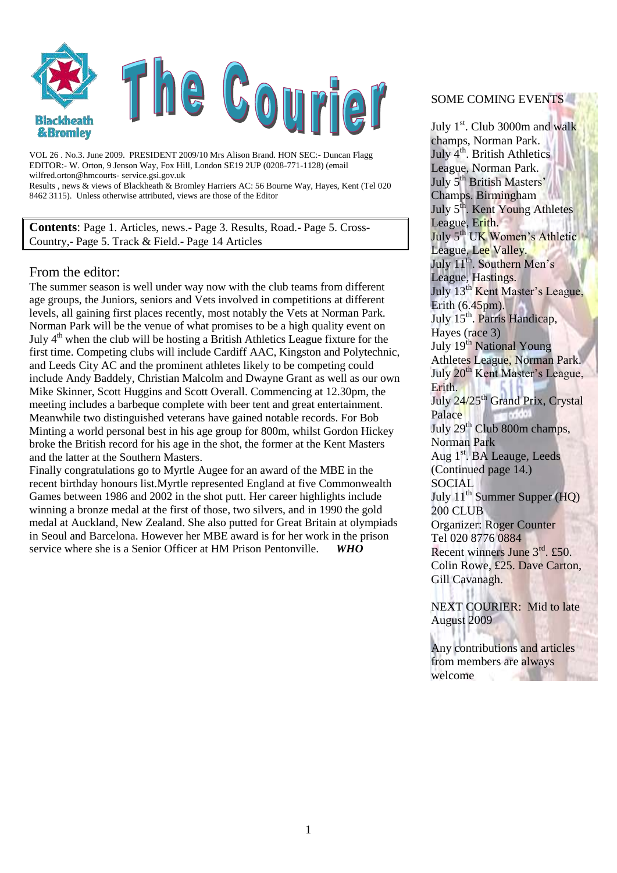

VOL 26 . No.3. June 2009. PRESIDENT 2009/10 Mrs Alison Brand. HON SEC:- Duncan Flagg EDITOR:- W. Orton, 9 Jenson Way, Fox Hill, London SE19 2UP (0208-771-1128) (email wilfred.orton@hmcourts- service.gsi.gov.uk Results , news & views of Blackheath & Bromley Harriers AC: 56 Bourne Way, Hayes, Kent (Tel 020 8462 3115). Unless otherwise attributed, views are those of the Editor

**Contents**: Page 1. Articles, news.- Page 3. Results, Road.- Page 5. Cross-Country,- Page 5. Track & Field.- Page 14 Articles

#### From the editor:

The summer season is well under way now with the club teams from different age groups, the Juniors, seniors and Vets involved in competitions at different levels, all gaining first places recently, most notably the Vets at Norman Park. Norman Park will be the venue of what promises to be a high quality event on July  $4<sup>th</sup>$  when the club will be hosting a British Athletics League fixture for the first time. Competing clubs will include Cardiff AAC, Kingston and Polytechnic, and Leeds City AC and the prominent athletes likely to be competing could include Andy Baddely, Christian Malcolm and Dwayne Grant as well as our own Mike Skinner, Scott Huggins and Scott Overall. Commencing at 12.30pm, the meeting includes a barbeque complete with beer tent and great entertainment. Meanwhile two distinguished veterans have gained notable records. For Bob Minting a world personal best in his age group for 800m, whilst Gordon Hickey broke the British record for his age in the shot, the former at the Kent Masters and the latter at the Southern Masters.

Finally congratulations go to Myrtle Augee for an award of the MBE in the recent birthday honours list.Myrtle represented England at five Commonwealth Games between 1986 and 2002 in the shot putt. Her career highlights include winning a bronze medal at the first of those, two silvers, and in 1990 the gold medal at Auckland, New Zealand. She also putted for Great Britain at olympiads in Seoul and Barcelona. However her MBE award is for her work in the prison service where she is a Senior Officer at HM Prison Pentonville. WHO service where she is a Senior Officer at HM Prison Pentonville.

#### SOME COMING EVENTS

July 1<sup>st</sup>. Club 3000m and walk champs, Norman Park. July  $4^{th}$ . British Athletics League, Norman Park. July 5<sup>th</sup> British Masters' Champs. Birmingham July 5<sup>th</sup>. Kent Young Athletes League, Erith. July 5<sup>th</sup> UK Women's Athletic League, Lee Valley. July 11<sup>th</sup>. Southern Men's League, Hastings. July 13<sup>th</sup> Kent Master's League, Erith  $(6.45 \text{pm})$ . July 15<sup>th</sup>. Parris Handicap, Hayes (race 3) July 19<sup>th</sup> National Young Athletes League, Norman Park. July 20<sup>th</sup> Kent Master's League, Erith. July 24/25<sup>th</sup> Grand Prix, Crystal Palace July 29<sup>th</sup> Club 800m champs, Norman Park Aug 1<sup>st</sup>. BA Leauge, Leeds (Continued page 14.) **SOCIAL** July  $11^{th}$  Summer Supper (HQ) 200 CLUB Organizer: Roger Counter Tel 020 8776 0884 Recent winners June 3rd. £50. Colin Rowe, £25. Dave Carton, Gill Cavanagh.

NEXT COURIER: Mid to late August 2009

Any contributions and articles from members are always welcome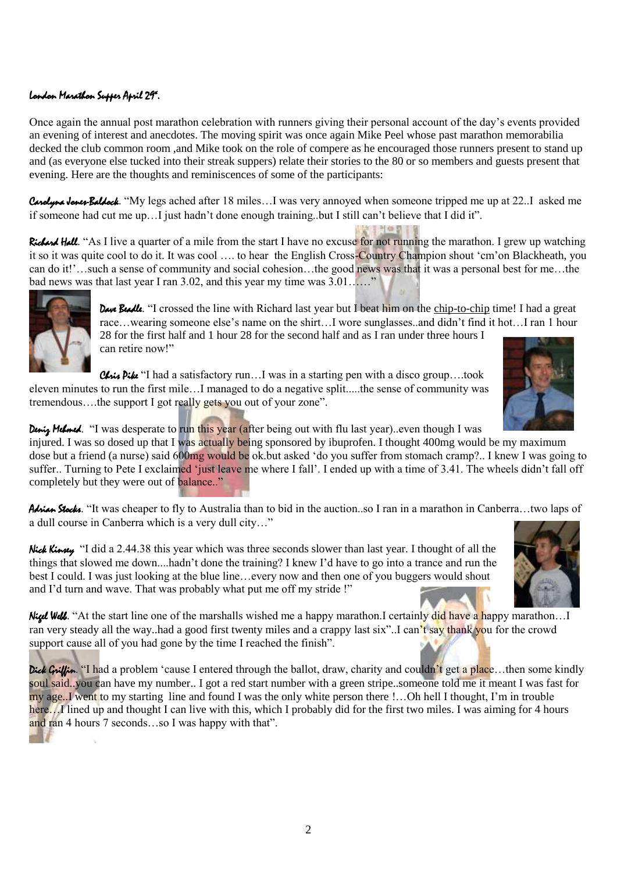### london Marathon Supper April 29ª.

Once again the annual post marathon celebration with runners giving their personal account of the day"s events provided an evening of interest and anecdotes. The moving spirit was once again Mike Peel whose past marathon memorabilia decked the club common room ,and Mike took on the role of compere as he encouraged those runners present to stand up and (as everyone else tucked into their streak suppers) relate their stories to the 80 or so members and guests present that evening. Here are the thoughts and reminiscences of some of the participants:

Carolyna Jones-Baldock. "My legs ached after 18 miles...I was very annoyed when someone tripped me up at 22..I asked me if someone had cut me up…I just hadn"t done enough training..but I still can"t believe that I did it".

Richard Hall. "As I live a quarter of a mile from the start I have no excuse for not running the marathon. I grew up watching it so it was quite cool to do it. It was cool …. to hear the English Cross-Country Champion shout "cm"on Blackheath, you can do it!'...such a sense of community and social cohesion...the good news was that it was a personal best for me...the bad news was that last year I ran 3.02, and this year my time was 3.01……"



Dave Beadle. "I crossed the line with Richard last year but I beat him on the chip-to-chip time! I had a great race…wearing someone else"s name on the shirt…I wore sunglasses..and didn"t find it hot…I ran 1 hour 28 for the first half and 1 hour 28 for the second half and as I ran under three hours I can retire now!"

Chris Pike "I had a satisfactory run...I was in a starting pen with a disco group....took eleven minutes to run the first mile…I managed to do a negative split.....the sense of community was tremendous….the support I got really gets you out of your zone".



Deniz Mehmed. "I was desperate to run this year (after being out with flu last year)..even though I was

injured. I was so dosed up that I was actually being sponsored by ibuprofen. I thought 400mg would be my maximum dose but a friend (a nurse) said 600mg would be ok.but asked "do you suffer from stomach cramp?.. I knew I was going to suffer.. Turning to Pete I exclaimed 'just leave me where I fall'. I ended up with a time of 3.41. The wheels didn't fall off completely but they were out of balance.."

Adrian Stocks. "It was cheaper to fly to Australia than to bid in the auction..so I ran in a marathon in Canberra…two laps of a dull course in Canberra which is a very dull city…"

Nick Kinsey "I did a 2.44.38 this year which was three seconds slower than last year. I thought of all the things that slowed me down....hadn"t done the training? I knew I"d have to go into a trance and run the best I could. I was just looking at the blue line…every now and then one of you buggers would shout and I"d turn and wave. That was probably what put me off my stride !"



Nigel Well. "At the start line one of the marshalls wished me a happy marathon.I certainly did have a happy marathon...I ran very steady all the way..had a good first twenty miles and a crappy last six"..I can"t say thank you for the crowd support cause all of you had gone by the time I reached the finish".

Dick Griffin. "I had a problem 'cause I entered through the ballot, draw, charity and couldn't get a place...then some kindly soul said..you can have my number.. I got a red start number with a green stripe..someone told me it meant I was fast for my age..I went to my starting line and found I was the only white person there !...Oh hell I thought, I'm in trouble here…I lined up and thought I can live with this, which I probably did for the first two miles. I was aiming for 4 hours and ran 4 hours 7 seconds…so I was happy with that".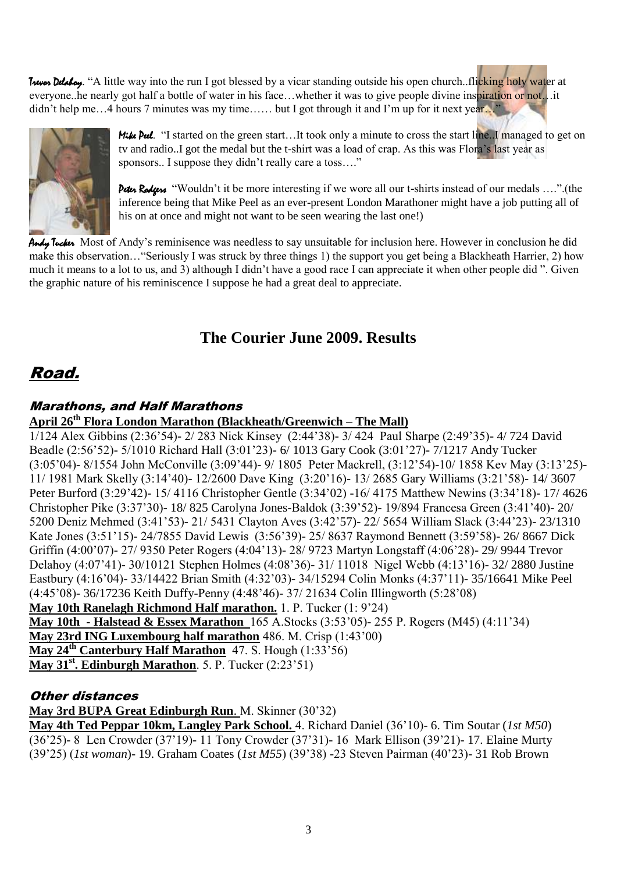Trevor Delaloy. "A little way into the run I got blessed by a vicar standing outside his open church..flicking holy water at everyone..he nearly got half a bottle of water in his face...whether it was to give people divine inspiration or not…it didn't help me...4 hours 7 minutes was my time...... but I got through it and I'm up for it next year..."



Mike Pul. "I started on the green start...It took only a minute to cross the start line..I managed to get on tv and radio..I got the medal but the t-shirt was a load of crap. As this was Flora"s last year as sponsors.. I suppose they didn't really care a toss...."

Peter Rodgers "Wouldn't it be more interesting if we wore all our t-shirts instead of our medals ....".(the inference being that Mike Peel as an ever-present London Marathoner might have a job putting all of his on at once and might not want to be seen wearing the last one!)

Andy Tucker Most of Andy's reminisence was needless to say unsuitable for inclusion here. However in conclusion he did make this observation…"Seriously I was struck by three things 1) the support you get being a Blackheath Harrier, 2) how much it means to a lot to us, and 3) although I didn"t have a good race I can appreciate it when other people did ". Given the graphic nature of his reminiscence I suppose he had a great deal to appreciate.

## **The Courier June 2009. Results**

# Road.

## Marathons, and Half Marathons

## **April 26th Flora London Marathon (Blackheath/Greenwich – The Mall)**

1/124 Alex Gibbins (2:36"54)- 2/ 283 Nick Kinsey (2:44"38)- 3/ 424 Paul Sharpe (2:49"35)- 4/ 724 David Beadle (2:56"52)- 5/1010 Richard Hall (3:01"23)- 6/ 1013 Gary Cook (3:01"27)- 7/1217 Andy Tucker (3:05"04)- 8/1554 John McConville (3:09"44)- 9/ 1805 Peter Mackrell, (3:12"54)-10/ 1858 Kev May (3:13"25)- 11/ 1981 Mark Skelly (3:14"40)- 12/2600 Dave King (3:20"16)- 13/ 2685 Gary Williams (3:21"58)- 14/ 3607 Peter Burford (3:29"42)- 15/ 4116 Christopher Gentle (3:34"02) -16/ 4175 Matthew Newins (3:34"18)- 17/ 4626 Christopher Pike (3:37"30)- 18/ 825 Carolyna Jones-Baldok (3:39"52)- 19/894 Francesa Green (3:41"40)- 20/ 5200 Deniz Mehmed (3:41"53)- 21/ 5431 Clayton Aves (3:42"57)- 22/ 5654 William Slack (3:44"23)- 23/1310 Kate Jones (3:51"15)- 24/7855 David Lewis (3:56"39)- 25/ 8637 Raymond Bennett (3:59"58)- 26/ 8667 Dick Griffin (4:00"07)- 27/ 9350 Peter Rogers (4:04"13)- 28/ 9723 Martyn Longstaff (4:06"28)- 29/ 9944 Trevor Delahoy (4:07"41)- 30/10121 Stephen Holmes (4:08"36)- 31/ 11018 Nigel Webb (4:13"16)- 32/ 2880 Justine Eastbury (4:16"04)- 33/14422 Brian Smith (4:32"03)- 34/15294 Colin Monks (4:37"11)- 35/16641 Mike Peel (4:45"08)- 36/17236 Keith Duffy-Penny (4:48"46)- 37/ 21634 Colin Illingworth (5:28"08) **May 10th Ranelagh Richmond Half marathon.** 1. P. Tucker (1: 9"24) **May 10th - Halstead & Essex Marathon** 165 A.Stocks (3:53"05)- 255 P. Rogers (M45) (4:11"34) **May 23rd ING Luxembourg half marathon** 486. M. Crisp (1:43"00) **May 24th Canterbury Half Marathon** 47. S. Hough (1:33"56) **May 31st. Edinburgh Marathon**. 5. P. Tucker (2:23"51)

## Other distances

**May 3rd BUPA Great Edinburgh Run**. M. Skinner (30"32)

**May 4th Ted Peppar 10km, Langley Park School.** 4. Richard Daniel (36"10)- 6. Tim Soutar (*1st M50*) (36'25)- 8 Len Crowder (37'19)- 11 Tony Crowder (37'31)- 16 Mark Ellison (39'21)- 17. Elaine Murty (39"25) (*1st woman*)- 19. Graham Coates (*1st M55*) (39"38) -23 Steven Pairman (40"23)- 31 Rob Brown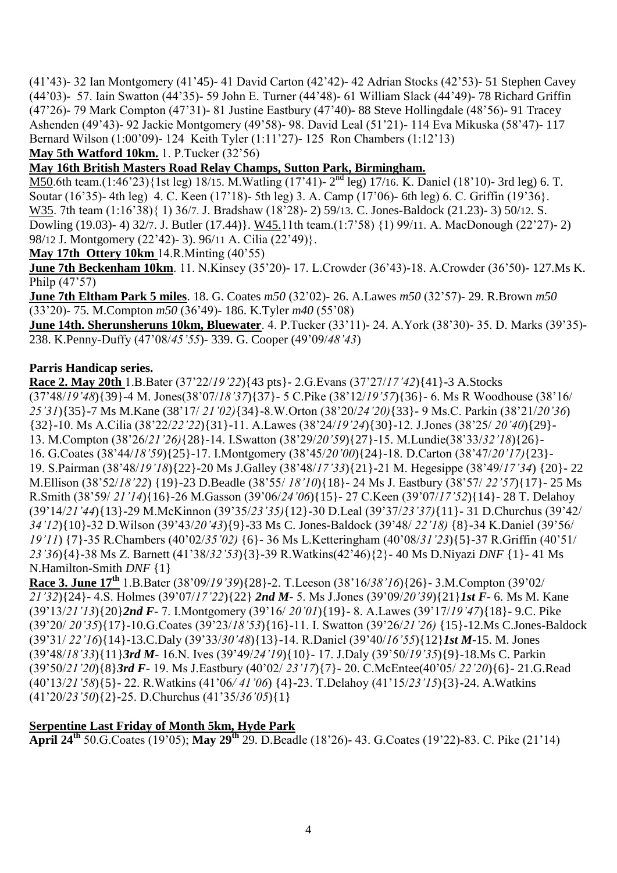(41"43)- 32 Ian Montgomery (41"45)- 41 David Carton (42"42)- 42 Adrian Stocks (42"53)- 51 Stephen Cavey (44"03)- 57. Iain Swatton (44"35)- 59 John E. Turner (44"48)- 61 William Slack (44"49)- 78 Richard Griffin (47"26)- 79 Mark Compton (47"31)- 81 Justine Eastbury (47"40)- 88 Steve Hollingdale (48"56)- 91 Tracey Ashenden (49"43)- 92 Jackie Montgomery (49"58)- 98. David Leal (51"21)- 114 Eva Mikuska (58"47)- 117 Bernard Wilson (1:00"09)- 124 Keith Tyler (1:11"27)- 125 Ron Chambers (1:12"13)

**May 5th Watford 10km.** 1. P.Tucker (32"56)

## **May 16th British Masters Road Relay Champs, Sutton Park, Birmingham.**

M50.6th team.(1:46'23){1st leg) 18/15. M. Watling (17'41)-  $2<sup>nd</sup>$  leg) 17/16. K. Daniel (18'10)- 3rd leg) 6. T. Soutar (16"35)- 4th leg) 4. C. Keen (17"18)- 5th leg) 3. A. Camp (17"06)- 6th leg) 6. C. Griffin (19"36}. W35. 7th team (1:16"38){ 1) 36/7. J. Bradshaw (18"28)- 2) 59/13. C. Jones-Baldock (21.23)- 3) 50/12. S. Dowling (19.03)- 4) 32/7. J. Butler (17.44)}. W45.11th team.(1:7"58) {1) 99/11. A. MacDonough (22"27)- 2) 98/12 J. Montgomery (22"42)- 3). 96/11 A. Cilia (22"49)}.

**May 17th Ottery 10km** 14.R.Minting (40"55)

**June 7th Beckenham 10km**. 11. N.Kinsey (35"20)- 17. L.Crowder (36"43)-18. A.Crowder (36"50)- 127.Ms K. Philp (47"57)

**June 7th Eltham Park 5 miles**. 18. G. Coates *m50* (32"02)- 26. A.Lawes *m50* (32"57)- 29. R.Brown *m50* (33"20)- 75. M.Compton *m50* (36"49)- 186. K.Tyler *m40* (55"08)

**June 14th. Sherunsheruns 10km, Bluewater**. 4. P.Tucker (33"11)- 24. A.York (38"30)- 35. D. Marks (39"35)- 238. K.Penny-Duffy (47"08/*45'55*)- 339. G. Cooper (49"09/*48'43*)

#### **Parris Handicap series.**

**Race 2. May 20th** 1.B.Bater (37"22/*19'22*){43 pts}- 2.G.Evans (37"27/*17'42*){41}-3 A.Stocks (37"48/*19'48*){39}-4 M. Jones(38"07/*18'37*){37}- 5 C.Pike (38"12/*19'57*){36}- 6. Ms R Woodhouse (38"16/ *25'31*){35}-7 Ms M.Kane (38"17/ *21'02)*{34}-8.W.Orton (38"20/*24'20)*{33}- 9 Ms.C. Parkin (38"21/*20'36*) {32}-10. Ms A.Cilia (38"22/*22'22*){31}-11. A.Lawes (38"24/*19'24*){30}-12. J.Jones (38"25/ *20'40*){29}- 13. M.Compton (38"26/*21'26)*{28}-14. I.Swatton (38"29/*20'59*){27}-15. M.Lundie(38"33/*32'18*){26}- 16. G.Coates (38"44/*18'59*){25}-17. I.Montgomery (38"45/*20'00*){24}-18. D.Carton (38"47/*20'17)*{23}- 19. S.Pairman (38"48/*19'18*){22}-20 Ms J.Galley (38"48/*17'33*){21}-21 M. Hegesippe (38"49/*17'34*) {20}- 22 M.Ellison (38"52/*18'22*) {19}-23 D.Beadle (38"55/ *18'10*){18}- 24 Ms J. Eastbury (38"57/ *22'57*){17}- 25 Ms R.Smith (38"59/ *21'14*){16}-26 M.Gasson (39"06/*24'06*){15}- 27 C.Keen (39"07/*17'52*){14}- 28 T. Delahoy (39"14/*21'44*){13}-29 M.McKinnon (39"35/*23'35)*{12}-30 D.Leal (39"37/*23'37)*{11}- 31 D.Churchus (39"42/ *34'12*){10}-32 D.Wilson (39"43/*20'43*){9}-33 Ms C. Jones-Baldock (39"48/ *22'18)* {8}-34 K.Daniel (39"56/ *19'11*) {7}-35 R.Chambers (40"02/*35'02)* {6}- 36 Ms L.Ketteringham (40"08/*31'23*){5}-37 R.Griffin (40"51/ *23'36*){4}-38 Ms Z. Barnett (41"38/*32'53*){3}-39 R.Watkins(42"46){2}- 40 Ms D.Niyazi *DNF* {1}- 41 Ms N.Hamilton-Smith *DNF* {1}

**Race 3. June 17th** 1.B.Bater (38"09/*19'39*){28}-2. T.Leeson (38"16/*38'16*){26}- 3.M.Compton (39"02/ *21'32*){24}- 4.S. Holmes (39"07/*17'22*){22} *2nd M*- 5. Ms J.Jones (39"09/*20'39*){21}*1st F*- 6. Ms M. Kane (39"13/*21'13*){20}*2nd F*- 7. I.Montgomery (39"16/ *20'01*){19}- 8. A.Lawes (39"17/*19'47*){18}- 9.C. Pike (39"20/ *20'35*){17}-10.G.Coates (39"23/*18'53*){16}-11. I. Swatton (39"26/*21'26)* {15}-12.Ms C.Jones-Baldock (39"31/ *22'16*){14}-13.C.Daly (39"33/*30'48*){13}-14. R.Daniel (39"40/*16'55*){12}*1st M*-15. M. Jones (39"48/*18'33*){11}*3rd M*- 16.N. Ives (39"49/*24'19*){10}- 17. J.Daly (39"50/*19'35*){9}-18.Ms C. Parkin (39"50/*21'20*){8}*3rd F*- 19. Ms J.Eastbury (40"02/ *23'17*){7}- 20. C.McEntee(40"05/ *22'20*){6}- 21.G.Read (40"13/*21'58*){5}- 22. R.Watkins (41"06*/ 41'06*) {4}-23. T.Delahoy (41"15/*23'15*){3}-24. A.Watkins (41"20/*23'50*){2}-25. D.Churchus (41"35/*36'05*){1}

#### **Serpentine Last Friday of Month 5km, Hyde Park**

**April 24th** 50.G.Coates (19"05); **May 29th** 29. D.Beadle (18"26)- 43. G.Coates (19"22)-83. C. Pike (21"14)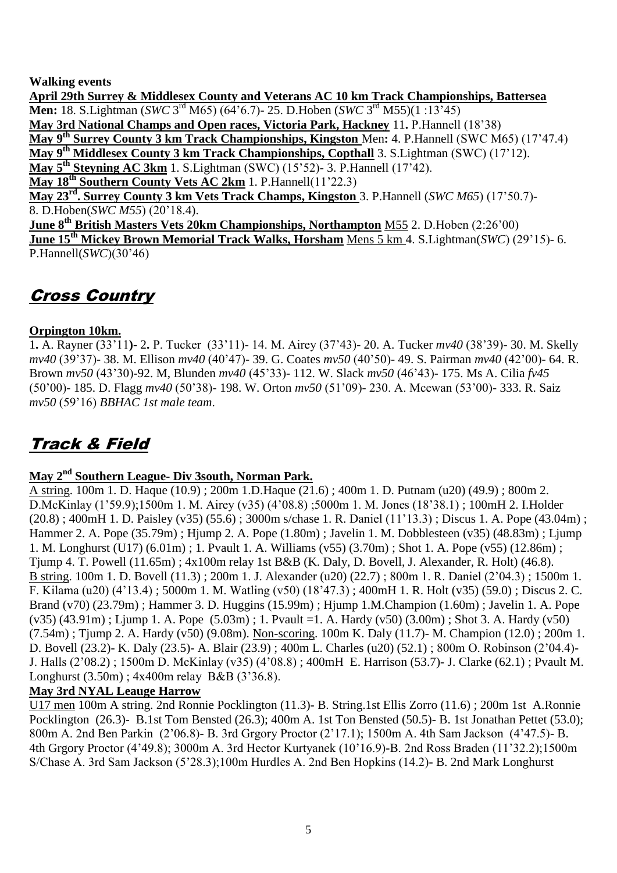#### **Walking events**

**April 29th Surrey & Middlesex County and Veterans AC 10 km Track Championships, Battersea Men:** 18. S. Lightman (*SWC* 3<sup>rd</sup> M65) (64'6.7)- 25. D. Hoben (*SWC* 3<sup>rd</sup> M55)(1:13'45) **May 3rd National Champs and Open races, Victoria Park, Hackney** 11**.** P.Hannell (18"38) **May 9th Surrey County 3 km Track Championships, Kingston** Men**:** 4. P.Hannell (SWC M65) (17"47.4) **May 9th Middlesex County 3 km Track Championships, Copthall** 3. S.Lightman (SWC) (17"12). **May 5th Steyning AC 3km** 1. S.Lightman (SWC) (15"52)- 3. P.Hannell (17"42). **May 18th Southern County Vets AC 2km** 1. P.Hannell(11"22.3) **May 23rd. Surrey County 3 km Vets Track Champs, Kingston** 3. P.Hannell (*SWC M65*) (17"50.7)- 8. D.Hoben(*SWC M55*) (20"18.4). **June 8th British Masters Vets 20km Championships, Northampton** M55 2. D.Hoben (2:26"00) **June 15th Mickey Brown Memorial Track Walks, Horsham** Mens 5 km 4. S.Lightman(*SWC*) (29"15)- 6. P.Hannell(*SWC*)(30"46)

## Cross Country

### **Orpington 10km.**

1**.** A. Rayner (33"11**)-** 2**.** P. Tucker (33"11)- 14. M. Airey (37"43)- 20. A. Tucker *mv40* (38"39)- 30. M. Skelly *mv40* (39"37)- 38. M. Ellison *mv40* (40"47)- 39. G. Coates *mv50* (40"50)- 49. S. Pairman *mv40* (42"00)- 64. R. Brown *mv50* (43"30)-92. M, Blunden *mv40* (45"33)- 112. W. Slack *mv50* (46"43)- 175. Ms A. Cilia *fv45* (50"00)- 185. D. Flagg *mv40* (50"38)- 198. W. Orton *mv50* (51"09)- 230. A. Mcewan (53"00)- 333. R. Saiz *mv50* (59"16) *BBHAC 1st male team*.

# Track & Field

## **May 2nd Southern League- Div 3south, Norman Park.**

A string. 100m 1. D. Haque (10.9) ; 200m 1.D.Haque (21.6) ; 400m 1. D. Putnam (u20) (49.9) ; 800m 2. D.McKinlay (1"59.9);1500m 1. M. Airey (v35) (4"08.8) ;5000m 1. M. Jones (18"38.1) ; 100mH 2. I.Holder (20.8) ; 400mH 1. D. Paisley (v35) (55.6) ; 3000m s/chase 1. R. Daniel (11"13.3) ; Discus 1. A. Pope (43.04m) ; Hammer 2. A. Pope (35.79m) ; Hjump 2. A. Pope (1.80m) ; Javelin 1. M. Dobblesteen (v35) (48.83m) ; Ljump 1. M. Longhurst (U17) (6.01m) ; 1. Pvault 1. A. Williams (v55) (3.70m) ; Shot 1. A. Pope (v55) (12.86m) ; Tjump 4. T. Powell (11.65m) ; 4x100m relay 1st B&B (K. Daly, D. Bovell, J. Alexander, R. Holt) (46.8). B string. 100m 1. D. Bovell (11.3) ; 200m 1. J. Alexander (u20) (22.7) ; 800m 1. R. Daniel (2"04.3) ; 1500m 1. F. Kilama (u20) (4"13.4) ; 5000m 1. M. Watling (v50) (18"47.3) ; 400mH 1. R. Holt (v35) (59.0) ; Discus 2. C. Brand (v70) (23.79m) ; Hammer 3. D. Huggins (15.99m) ; Hjump 1.M.Champion (1.60m) ; Javelin 1. A. Pope  $(v35)$  (43.91m) ; Ljump 1. A. Pope  $(5.03m)$  ; 1. Pvault =1. A. Hardy  $(v50)$   $(3.00m)$  ; Shot 3. A. Hardy  $(v50)$ (7.54m) ; Tjump 2. A. Hardy (v50) (9.08m). Non-scoring. 100m K. Daly (11.7)- M. Champion (12.0) ; 200m 1. D. Bovell (23.2)- K. Daly (23.5)- A. Blair (23.9) ; 400m L. Charles (u20) (52.1) ; 800m O. Robinson (2"04.4)- J. Halls (2"08.2) ; 1500m D. McKinlay (v35) (4"08.8) ; 400mH E. Harrison (53.7)- J. Clarke (62.1) ; Pvault M. Longhurst (3.50m) ; 4x400m relay B&B (3"36.8).

#### **May 3rd NYAL Leauge Harrow**

U17 men 100m A string. 2nd Ronnie Pocklington (11.3)- B. String.1st Ellis Zorro (11.6) ; 200m 1st A.Ronnie Pocklington (26.3)- B.1st Tom Bensted (26.3); 400m A. 1st Ton Bensted (50.5)- B. 1st Jonathan Pettet (53.0); 800m A. 2nd Ben Parkin (2"06.8)- B. 3rd Grgory Proctor (2"17.1); 1500m A. 4th Sam Jackson (4"47.5)- B. 4th Grgory Proctor (4"49.8); 3000m A. 3rd Hector Kurtyanek (10"16.9)-B. 2nd Ross Braden (11"32.2);1500m S/Chase A. 3rd Sam Jackson (5"28.3);100m Hurdles A. 2nd Ben Hopkins (14.2)- B. 2nd Mark Longhurst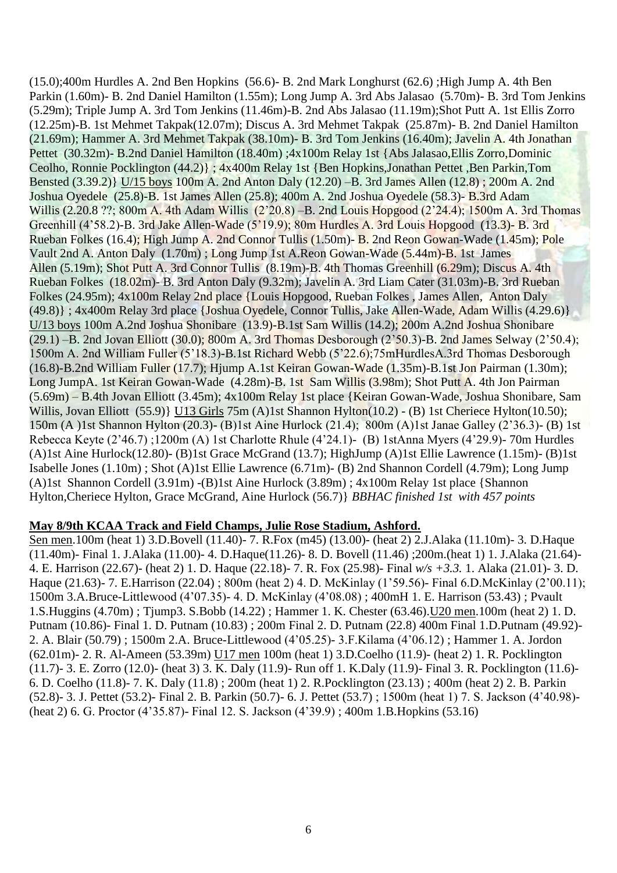(15.0);400m Hurdles A. 2nd Ben Hopkins (56.6)- B. 2nd Mark Longhurst (62.6) ;High Jump A. 4th Ben Parkin (1.60m)- B. 2nd Daniel Hamilton (1.55m); Long Jump A. 3rd Abs Jalasao (5.70m)- B. 3rd Tom Jenkins (5.29m); Triple Jump A. 3rd Tom Jenkins (11.46m)-B. 2nd Abs Jalasao (11.19m);Shot Putt A. 1st Ellis Zorro (12.25m)-B. 1st Mehmet Takpak(12.07m); Discus A. 3rd Mehmet Takpak (25.87m)- B. 2nd Daniel Hamilton (21.69m); Hammer A. 3rd Mehmet Takpak (38.10m)- B. 3rd Tom Jenkins (16.40m); Javelin A. 4th Jonathan Pettet (30.32m)- B.2nd Daniel Hamilton (18.40m) ;4x100m Relay 1st {Abs Jalasao, Ellis Zorro, Dominic Ceolho, Ronnie Pocklington (44.2)} ; 4x400m Relay 1st {Ben Hopkins,Jonathan Pettet ,Ben Parkin,Tom Bensted (3.39.2)} U/15 boys 100m A. 2nd Anton Daly (12.20) –B. 3rd James Allen (12.8) ; 200m A. 2nd Joshua Oyedele (25.8)-B. 1st James Allen (25.8); 400m A. 2nd Joshua Oyedele (58.3)- B.3rd Adam Willis (2.20.8 ??; 800m A. 4th Adam Willis (2"20.8) –B. 2nd Louis Hopgood (2"24.4); 1500m A. 3rd Thomas Greenhill (4"58.2)-B. 3rd Jake Allen-Wade (5"19.9); 80m Hurdles A. 3rd Louis Hopgood (13.3)- B. 3rd Rueban Folkes (16.4); High Jump A. 2nd Connor Tullis (1.50m)- B. 2nd Reon Gowan-Wade (1.45m); Pole Vault 2nd A. Anton Daly (1.70m) ; Long Jump 1st A.Reon Gowan-Wade (5.44m)-B. 1st James Allen (5.19m); Shot Putt A. 3rd Connor Tullis (8.19m)-B. 4th Thomas Greenhill (6.29m); Discus A. 4th Rueban Folkes (18.02m)- B. 3rd Anton Daly (9.32m); Javelin A. 3rd Liam Cater (31.03m)-B. 3rd Rueban Folkes (24.95m); 4x100m Relay 2nd place {Louis Hopgood, Rueban Folkes , James Allen, Anton Daly (49.8)} ; 4x400m Relay 3rd place {Joshua Oyedele, Connor Tullis, Jake Allen-Wade, Adam Willis (4.29.6)} U/13 boys 100m A.2nd Joshua Shonibare (13.9)-B.1st Sam Willis (14.2); 200m A.2nd Joshua Shonibare  $(29.1)$  –B. 2nd Jovan Elliott  $(30.0)$ ; 800m A. 3rd Thomas Desborough  $(2\text{'}50.3)$ -B. 2nd James Selway  $(2\text{'}50.4)$ ; 1500m A. 2nd William Fuller (5"18.3)-B.1st Richard Webb (5"22.6);75mHurdlesA.3rd Thomas Desborough (16.8)-B.2nd William Fuller (17.7); Hjump A.1st Keiran Gowan-Wade (1.35m)-B.1st Jon Pairman (1.30m); Long JumpA. 1st Keiran Gowan-Wade (4.28m)-B. 1st Sam Willis (3.98m); Shot Putt A. 4th Jon Pairman (5.69m) – B.4th Jovan Elliott (3.45m); 4x100m Relay 1st place {Keiran Gowan-Wade, Joshua Shonibare, Sam Willis, Jovan Elliott (55.9)} U13 Girls 75m (A)1st Shannon Hylton(10.2) - (B) 1st Cheriece Hylton(10.50); 150m (A )1st Shannon Hylton (20.3)- (B)1st Aine Hurlock (21.4); 800m (A)1st Janae Galley (2"36.3)- (B) 1st Rebecca Keyte (2"46.7) ;1200m (A) 1st Charlotte Rhule (4"24.1)- (B) 1stAnna Myers (4"29.9)- 70m Hurdles (A)1st Aine Hurlock(12.80)- (B)1st Grace McGrand (13.7); HighJump (A)1st Ellie Lawrence (1.15m)- (B)1st Isabelle Jones (1.10m) ; Shot (A)1st Ellie Lawrence (6.71m)- (B) 2nd Shannon Cordell (4.79m); Long Jump (A)1st Shannon Cordell (3.91m) -(B)1st Aine Hurlock (3.89m) ; 4x100m Relay 1st place {Shannon Hylton,Cheriece Hylton, Grace McGrand, Aine Hurlock (56.7)} *BBHAC finished 1st with 457 points*

#### **May 8/9th KCAA Track and Field Champs, Julie Rose Stadium, Ashford.**

Sen men.100m (heat 1) 3.D.Bovell (11.40)- 7. R.Fox (m45) (13.00)- (heat 2) 2.J.Alaka (11.10m)- 3. D.Haque (11.40m)- Final 1. J.Alaka (11.00)- 4. D.Haque(11.26)- 8. D. Bovell (11.46) ;200m.(heat 1) 1. J.Alaka (21.64)- 4. E. Harrison (22.67)- (heat 2) 1. D. Haque (22.18)- 7. R. Fox (25.98)- Final *w/s +3.3.* 1. Alaka (21.01)- 3. D. Haque (21.63)- 7. E.Harrison (22.04) ; 800m (heat 2) 4. D. McKinlay (1"59.56)- Final 6.D.McKinlay (2"00.11); 1500m 3.A.Bruce-Littlewood (4"07.35)- 4. D. McKinlay (4"08.08) ; 400mH 1. E. Harrison (53.43) ; Pvault 1.S.Huggins (4.70m) ; Tjump3. S.Bobb (14.22) ; Hammer 1. K. Chester (63.46).U20 men.100m (heat 2) 1. D. Putnam (10.86)- Final 1. D. Putnam (10.83) ; 200m Final 2. D. Putnam (22.8) 400m Final 1.D.Putnam (49.92)- 2. A. Blair (50.79) ; 1500m 2.A. Bruce-Littlewood (4"05.25)- 3.F.Kilama (4"06.12) ; Hammer 1. A. Jordon (62.01m)- 2. R. Al-Ameen (53.39m) U17 men 100m (heat 1) 3.D.Coelho (11.9)- (heat 2) 1. R. Pocklington (11.7)- 3. E. Zorro (12.0)- (heat 3) 3. K. Daly (11.9)- Run off 1. K.Daly (11.9)- Final 3. R. Pocklington (11.6)- 6. D. Coelho (11.8)- 7. K. Daly (11.8) ; 200m (heat 1) 2. R.Pocklington (23.13) ; 400m (heat 2) 2. B. Parkin (52.8)- 3. J. Pettet (53.2)- Final 2. B. Parkin (50.7)- 6. J. Pettet (53.7) ; 1500m (heat 1) 7. S. Jackson (4"40.98)- (heat 2) 6. G. Proctor (4"35.87)- Final 12. S. Jackson (4"39.9) ; 400m 1.B.Hopkins (53.16)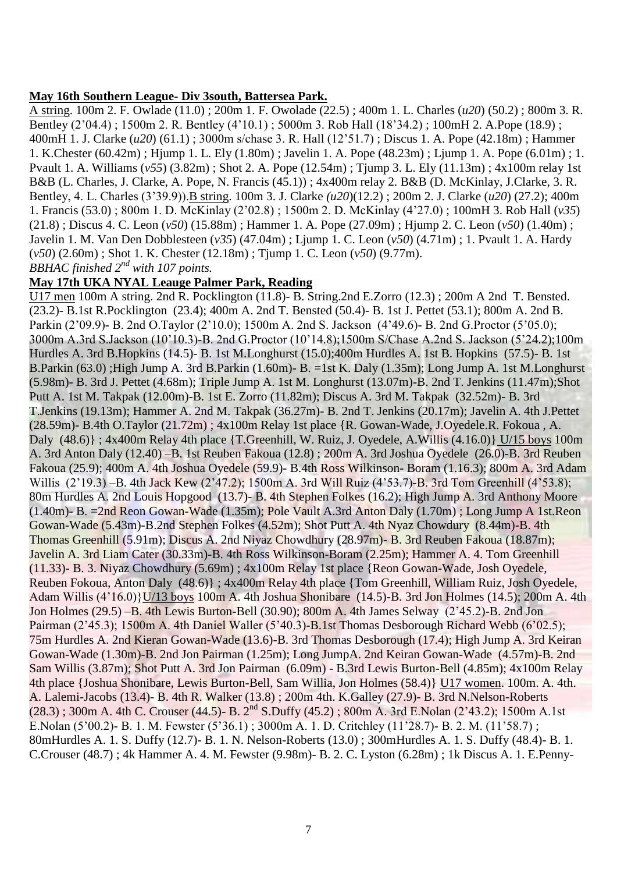#### **May 16th Southern League- Div 3south, Battersea Park.**

A string. 100m 2. F. Owlade (11.0) ; 200m 1. F. Owolade (22.5) ; 400m 1. L. Charles (*u20*) (50.2) ; 800m 3. R. Bentley (2"04.4) ; 1500m 2. R. Bentley (4"10.1) ; 5000m 3. Rob Hall (18"34.2) ; 100mH 2. A.Pope (18.9) ; 400mH 1. J. Clarke (*u20*) (61.1) ; 3000m s/chase 3. R. Hall (12"51.7) ; Discus 1. A. Pope (42.18m) ; Hammer 1. K.Chester (60.42m) ; Hjump 1. L. Ely (1.80m) ; Javelin 1. A. Pope (48.23m) ; Ljump 1. A. Pope (6.01m) ; 1. Pvault 1. A. Williams (*v55*) (3.82m) ; Shot 2. A. Pope (12.54m) ; Tjump 3. L. Ely (11.13m) ; 4x100m relay 1st B&B (L. Charles, J. Clarke, A. Pope, N. Francis (45.1)) ; 4x400m relay 2. B&B (D. McKinlay, J.Clarke, 3. R. Bentley, 4. L. Charles (3"39.9)).B string. 100m 3. J. Clarke *(u20*)(12.2) ; 200m 2. J. Clarke (*u20*) (27.2); 400m 1. Francis (53.0) ; 800m 1. D. McKinlay (2"02.8) ; 1500m 2. D. McKinlay (4"27.0) ; 100mH 3. Rob Hall (*v35*) (21.8) ; Discus 4. C. Leon (*v50*) (15.88m) ; Hammer 1. A. Pope (27.09m) ; Hjump 2. C. Leon (*v50*) (1.40m) ; Javelin 1. M. Van Den Dobblesteen (*v35*) (47.04m) ; Ljump 1. C. Leon (*v50*) (4.71m) ; 1. Pvault 1. A. Hardy (*v50*) (2.60m) ; Shot 1. K. Chester (12.18m) ; Tjump 1. C. Leon (*v50*) (9.77m). *BBHAC finished 2nd with 107 points.*

#### **May 17th UKA NYAL Leauge Palmer Park, Reading**

U17 men 100m A string. 2nd R. Pocklington (11.8)- B. String.2nd E.Zorro (12.3) ; 200m A 2nd T. Bensted. (23.2)- B.1st R.Pocklington (23.4); 400m A. 2nd T. Bensted (50.4)- B. 1st J. Pettet (53.1); 800m A. 2nd B. Parkin (2"09.9)- B. 2nd O.Taylor (2"10.0); 1500m A. 2nd S. Jackson (4"49.6)- B. 2nd G.Proctor (5"05.0); 3000m A.3rd S.Jackson (10"10.3)-B. 2nd G.Proctor (10"14.8);1500m S/Chase A.2nd S. Jackson (5"24.2);100m Hurdles A. 3rd B.Hopkins (14.5)- B. 1st M.Longhurst (15.0);400m Hurdles A. 1st B. Hopkins (57.5)- B. 1st B.Parkin (63.0) ;High Jump A. 3rd B.Parkin (1.60m)- B. =1st K. Daly (1.35m); Long Jump A. 1st M.Longhurst (5.98m)- B. 3rd J. Pettet (4.68m); Triple Jump A. 1st M. Longhurst (13.07m)-B. 2nd T. Jenkins (11.47m);Shot Putt A. 1st M. Takpak (12.00m)-B. 1st E. Zorro (11.82m); Discus A. 3rd M. Takpak (32.52m)- B. 3rd T.Jenkins (19.13m); Hammer A. 2nd M. Takpak (36.27m)- B. 2nd T. Jenkins (20.17m); Javelin A. 4th J.Pettet (28.59m)- B.4th O.Taylor (21.72m) ; 4x100m Relay 1st place {R. Gowan-Wade, J.Oyedele.R. Fokoua , A. Daly (48.6)} ; 4x400m Relay 4th place {T.Greenhill, W. Ruiz, J. Oyedele, A.Willis (4.16.0)} U/15 boys 100m A. 3rd Anton Daly (12.40) –B. 1st Reuben Fakoua (12.8) ; 200m A. 3rd Joshua Oyedele (26.0)-B. 3rd Reuben Fakoua (25.9); 400m A. 4th Joshua Oyedele (59.9)- B.4th Ross Wilkinson- Boram (1.16.3); 800m A. 3rd Adam Willis (2'19.3) –B. 4th Jack Kew (2'47.2); 1500m A. 3rd Will Ruiz (4'53.7)-B. 3rd Tom Greenhill (4'53.8); 80m Hurdles A. 2nd Louis Hopgood (13.7)- B. 4th Stephen Folkes (16.2); High Jump A. 3rd Anthony Moore (1.40m)- B. =2nd Reon Gowan-Wade (1.35m); Pole Vault A.3rd Anton Daly (1.70m) ; Long Jump A 1st.Reon Gowan-Wade (5.43m)-B.2nd Stephen Folkes (4.52m); Shot Putt A. 4th Nyaz Chowdury (8.44m)-B. 4th Thomas Greenhill (5.91m); Discus A. 2nd Niyaz Chowdhury (28.97m)- B. 3rd Reuben Fakoua (18.87m); Javelin A. 3rd Liam Cater (30.33m)-B. 4th Ross Wilkinson-Boram (2.25m); Hammer A. 4. Tom Greenhill (11.33)- B. 3. Niyaz Chowdhury (5.69m) ; 4x100m Relay 1st place {Reon Gowan-Wade, Josh Oyedele, Reuben Fokoua, Anton Daly (48.6)} ; 4x400m Relay 4th place {Tom Greenhill, William Ruiz, Josh Oyedele, Adam Willis (4"16.0)}U/13 boys 100m A. 4th Joshua Shonibare (14.5)-B. 3rd Jon Holmes (14.5); 200m A. 4th Jon Holmes (29.5) –B. 4th Lewis Burton-Bell (30.90); 800m A. 4th James Selway (2"45.2)-B. 2nd Jon Pairman (2'45.3); 1500m A. 4th Daniel Waller (5'40.3)-B.1st Thomas Desborough Richard Webb (6'02.5); 75m Hurdles A. 2nd Kieran Gowan-Wade (13.6)-B. 3rd Thomas Desborough (17.4); High Jump A. 3rd Keiran Gowan-Wade (1.30m)-B. 2nd Jon Pairman (1.25m); Long JumpA. 2nd Keiran Gowan-Wade (4.57m)-B. 2nd Sam Willis (3.87m); Shot Putt A. 3rd Jon Pairman (6.09m) - B.3rd Lewis Burton-Bell (4.85m); 4x100m Relay 4th place {Joshua Shonibare, Lewis Burton-Bell, Sam Willia, Jon Holmes (58.4)} U17 women. 100m. A. 4th. A. Lalemi-Jacobs (13.4)- B. 4th R. Walker (13.8) ; 200m 4th. K.Galley (27.9)- B. 3rd N.Nelson-Roberts (28.3) ; 300m A. 4th C. Crouser (44.5)- B. 2nd S.Duffy (45.2) ; 800m A. 3rd E.Nolan (2"43.2); 1500m A.1st E.Nolan (5"00.2)- B. 1. M. Fewster (5"36.1) ; 3000m A. 1. D. Critchley (11"28.7)- B. 2. M. (11"58.7) ; 80mHurdles A. 1. S. Duffy (12.7)- B. 1. N. Nelson-Roberts (13.0) ; 300mHurdles A. 1. S. Duffy (48.4)- B. 1. C.Crouser (48.7) ; 4k Hammer A. 4. M. Fewster (9.98m)- B. 2. C. Lyston (6.28m) ; 1k Discus A. 1. E.Penny-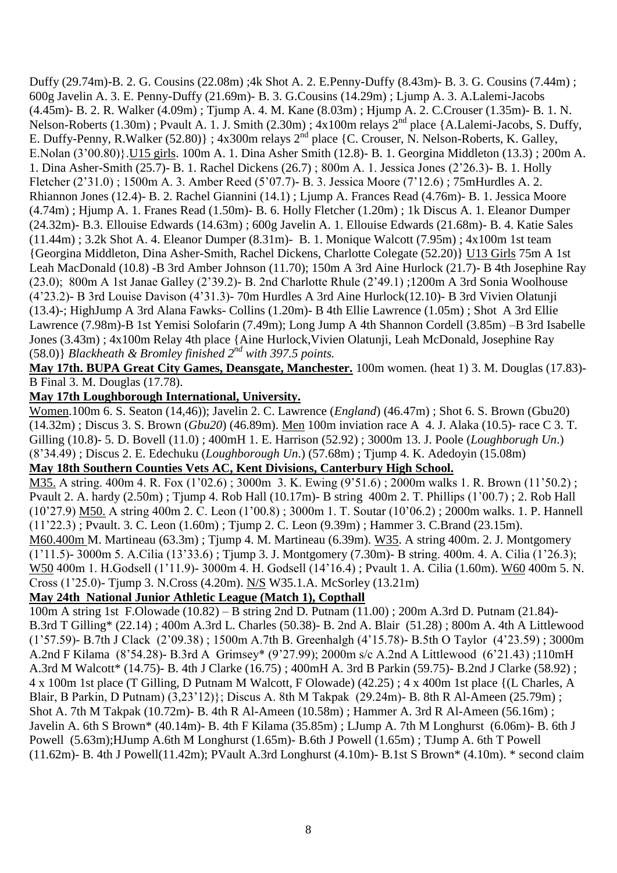Duffy (29.74m)-B. 2. G. Cousins (22.08m) ;4k Shot A. 2. E.Penny-Duffy (8.43m)- B. 3. G. Cousins (7.44m) ; 600g Javelin A. 3. E. Penny-Duffy (21.69m)- B. 3. G.Cousins (14.29m) ; Ljump A. 3. A.Lalemi-Jacobs (4.45m)- B. 2. R. Walker (4.09m) ; Tjump A. 4. M. Kane (8.03m) ; Hjump A. 2. C.Crouser (1.35m)- B. 1. N. Nelson-Roberts (1.30m) ; Pvault A. 1. J. Smith (2.30m) ;  $4x100m$  relays  $2^{nd}$  place {A.Lalemi-Jacobs, S. Duffy, E. Duffy-Penny, R.Walker (52.80)} ; 4x300m relays 2<sup>nd</sup> place {C. Crouser, N. Nelson-Roberts, K. Galley, E.Nolan (3"00.80)}.U15 girls. 100m A. 1. Dina Asher Smith (12.8)- B. 1. Georgina Middleton (13.3) ; 200m A. 1. Dina Asher-Smith (25.7)- B. 1. Rachel Dickens (26.7) ; 800m A. 1. Jessica Jones (2"26.3)- B. 1. Holly Fletcher (2"31.0) ; 1500m A. 3. Amber Reed (5"07.7)- B. 3. Jessica Moore (7"12.6) ; 75mHurdles A. 2. Rhiannon Jones (12.4)- B. 2. Rachel Giannini (14.1) ; Ljump A. Frances Read (4.76m)- B. 1. Jessica Moore (4.74m) ; Hjump A. 1. Franes Read (1.50m)- B. 6. Holly Fletcher (1.20m) ; 1k Discus A. 1. Eleanor Dumper (24.32m)- B.3. Ellouise Edwards (14.63m) ; 600g Javelin A. 1. Ellouise Edwards (21.68m)- B. 4. Katie Sales (11.44m) ; 3.2k Shot A. 4. Eleanor Dumper (8.31m)- B. 1. Monique Walcott (7.95m) ; 4x100m 1st team {Georgina Middleton, Dina Asher-Smith, Rachel Dickens, Charlotte Colegate (52.20)} U13 Girls 75m A 1st Leah MacDonald (10.8) -B 3rd Amber Johnson (11.70); 150m A 3rd Aine Hurlock (21.7)- B 4th Josephine Ray (23.0); 800m A 1st Janae Galley (2"39.2)- B. 2nd Charlotte Rhule (2"49.1) ;1200m A 3rd Sonia Woolhouse (4"23.2)- B 3rd Louise Davison (4"31.3)- 70m Hurdles A 3rd Aine Hurlock(12.10)- B 3rd Vivien Olatunji (13.4)-; HighJump A 3rd Alana Fawks- Collins (1.20m)- B 4th Ellie Lawrence (1.05m) ; Shot A 3rd Ellie Lawrence (7.98m)-B 1st Yemisi Solofarin (7.49m); Long Jump A 4th Shannon Cordell (3.85m) –B 3rd Isabelle Jones (3.43m) ; 4x100m Relay 4th place {Aine Hurlock,Vivien Olatunji, Leah McDonald, Josephine Ray (58.0)} *Blackheath & Bromley finished 2nd with 397.5 points.*

**May 17th. BUPA Great City Games, Deansgate, Manchester.** 100m women. (heat 1) 3. M. Douglas (17.83)- B Final 3. M. Douglas (17.78).

#### **May 17th Loughborough International, University.**

Women.100m 6. S. Seaton (14,46)); Javelin 2. C. Lawrence (*England*) (46.47m) ; Shot 6. S. Brown (Gbu20) (14.32m) ; Discus 3. S. Brown (*Gbu20*) (46.89m). Men 100m inviation race A 4. J. Alaka (10.5)- race C 3. T. Gilling (10.8)- 5. D. Bovell (11.0) ; 400mH 1. E. Harrison (52.92) ; 3000m 13. J. Poole (*Loughborugh Un*.) (8"34.49) ; Discus 2. E. Edechuku (*Loughborough Un*.) (57.68m) ; Tjump 4. K. Adedoyin (15.08m)

## **May 18th Southern Counties Vets AC, Kent Divisions, Canterbury High School.**

M35. A string. 400m 4. R. Fox (1"02.6) ; 3000m 3. K. Ewing (9"51.6) ; 2000m walks 1. R. Brown (11"50.2) ; Pvault 2. A. hardy (2.50m) ; Tjump 4. Rob Hall (10.17m)- B string 400m 2. T. Phillips (1"00.7) ; 2. Rob Hall (10"27.9) M50. A string 400m 2. C. Leon (1"00.8) ; 3000m 1. T. Soutar (10"06.2) ; 2000m walks. 1. P. Hannell (11"22.3) ; Pvault. 3. C. Leon (1.60m) ; Tjump 2. C. Leon (9.39m) ; Hammer 3. C.Brand (23.15m). M60.400m M. Martineau (63.3m) ; Tjump 4. M. Martineau (6.39m). W35. A string 400m. 2. J. Montgomery (1"11.5)- 3000m 5. A.Cilia (13"33.6) ; Tjump 3. J. Montgomery (7.30m)- B string. 400m. 4. A. Cilia (1"26.3); W50 400m 1. H.Godsell (1"11.9)- 3000m 4. H. Godsell (14"16.4) ; Pvault 1. A. Cilia (1.60m). W60 400m 5. N. Cross (1"25.0)- Tjump 3. N.Cross (4.20m). N/S W35.1.A. McSorley (13.21m)

#### **May 24th National Junior Athletic League (Match 1), Copthall**

100m A string 1st F.Olowade (10.82) – B string 2nd D. Putnam (11.00) ; 200m A.3rd D. Putnam (21.84)- B.3rd T Gilling\* (22.14) ; 400m A.3rd L. Charles (50.38)- B. 2nd A. Blair (51.28) ; 800m A. 4th A Littlewood (1"57.59)- B.7th J Clack (2"09.38) ; 1500m A.7th B. Greenhalgh (4"15.78)- B.5th O Taylor (4"23.59) ; 3000m A.2nd F Kilama (8"54.28)- B.3rd A Grimsey\* (9"27.99); 2000m s/c A.2nd A Littlewood (6"21.43) ;110mH A.3rd M Walcott\* (14.75)- B. 4th J Clarke (16.75) ; 400mH A. 3rd B Parkin (59.75)- B.2nd J Clarke (58.92) ; 4 x 100m 1st place (T Gilling, D Putnam M Walcott, F Olowade) (42.25) ; 4 x 400m 1st place {(L Charles, A Blair, B Parkin, D Putnam) (3,23"12)}; Discus A. 8th M Takpak (29.24m)- B. 8th R Al-Ameen (25.79m) ; Shot A. 7th M Takpak (10.72m)- B. 4th R Al-Ameen (10.58m) ; Hammer A. 3rd R Al-Ameen (56.16m) ; Javelin A. 6th S Brown\* (40.14m)- B. 4th F Kilama (35.85m) ; LJump A. 7th M Longhurst (6.06m)- B. 6th J Powell (5.63m);HJump A.6th M Longhurst (1.65m)- B.6th J Powell (1.65m) ; TJump A. 6th T Powell (11.62m)- B. 4th J Powell(11.42m); PVault A.3rd Longhurst (4.10m)- B.1st S Brown\* (4.10m). \* second claim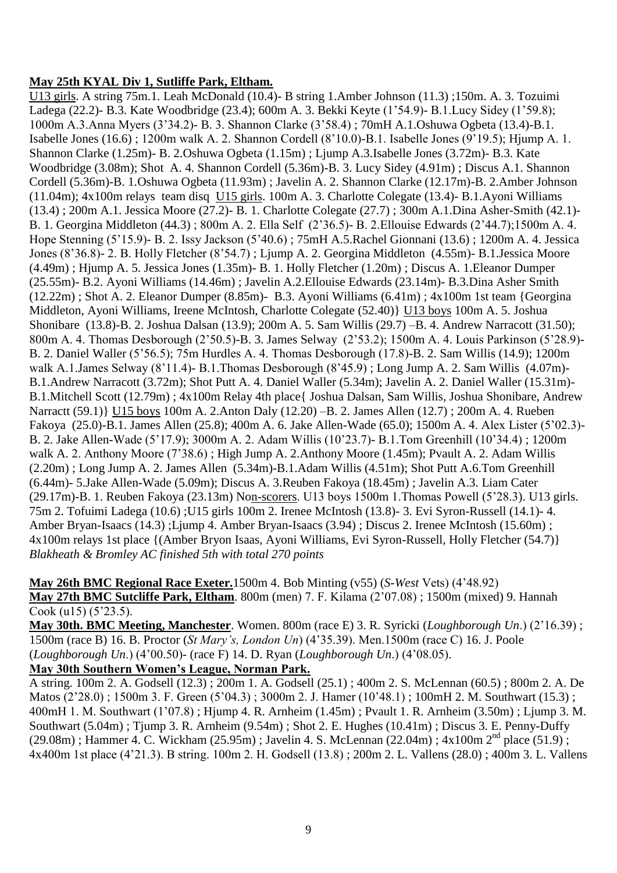### **May 25th KYAL Div 1, Sutliffe Park, Eltham.**

U13 girls. A string 75m.1. Leah McDonald (10.4)- B string 1.Amber Johnson (11.3) ;150m. A. 3. Tozuimi Ladega (22.2)- B.3. Kate Woodbridge (23.4); 600m A. 3. Bekki Keyte (1"54.9)- B.1.Lucy Sidey (1"59.8); 1000m A.3.Anna Myers (3"34.2)- B. 3. Shannon Clarke (3"58.4) ; 70mH A.1.Oshuwa Ogbeta (13.4)-B.1. Isabelle Jones (16.6) ; 1200m walk A. 2. Shannon Cordell (8"10.0)-B.1. Isabelle Jones (9"19.5); Hjump A. 1. Shannon Clarke (1.25m)- B. 2.Oshuwa Ogbeta (1.15m) ; Ljump A.3.Isabelle Jones (3.72m)- B.3. Kate Woodbridge (3.08m); Shot A. 4. Shannon Cordell (5.36m)-B. 3. Lucy Sidey (4.91m) ; Discus A.1. Shannon Cordell (5.36m)-B. 1.Oshuwa Ogbeta (11.93m) ; Javelin A. 2. Shannon Clarke (12.17m)-B. 2.Amber Johnson (11.04m); 4x100m relays team disq U15 girls. 100m A. 3. Charlotte Colegate (13.4)- B.1.Ayoni Williams (13.4) ; 200m A.1. Jessica Moore (27.2)- B. 1. Charlotte Colegate (27.7) ; 300m A.1.Dina Asher-Smith (42.1)- B. 1. Georgina Middleton (44.3) ; 800m A. 2. Ella Self (2"36.5)- B. 2.Ellouise Edwards (2"44.7);1500m A. 4. Hope Stenning (5"15.9)- B. 2. Issy Jackson (5"40.6) ; 75mH A.5.Rachel Gionnani (13.6) ; 1200m A. 4. Jessica Jones (8"36.8)- 2. B. Holly Fletcher (8"54.7) ; Ljump A. 2. Georgina Middleton (4.55m)- B.1.Jessica Moore (4.49m) ; Hjump A. 5. Jessica Jones (1.35m)- B. 1. Holly Fletcher (1.20m) ; Discus A. 1.Eleanor Dumper (25.55m)- B.2. Ayoni Williams (14.46m) ; Javelin A.2.Ellouise Edwards (23.14m)- B.3.Dina Asher Smith (12.22m) ; Shot A. 2. Eleanor Dumper (8.85m)- B.3. Ayoni Williams (6.41m) ; 4x100m 1st team {Georgina Middleton, Ayoni Williams, Ireene McIntosh, Charlotte Colegate (52.40)} U13 boys 100m A. 5. Joshua Shonibare (13.8)-B. 2. Joshua Dalsan (13.9); 200m A. 5. Sam Willis (29.7) –B. 4. Andrew Narracott (31.50); 800m A. 4. Thomas Desborough (2"50.5)-B. 3. James Selway (2"53.2); 1500m A. 4. Louis Parkinson (5"28.9)- B. 2. Daniel Waller (5"56.5); 75m Hurdles A. 4. Thomas Desborough (17.8)-B. 2. Sam Willis (14.9); 1200m walk A.1.James Selway (8'11.4)- B.1.Thomas Desborough (8'45.9); Long Jump A. 2. Sam Willis (4.07m)-B.1.Andrew Narracott (3.72m); Shot Putt A. 4. Daniel Waller (5.34m); Javelin A. 2. Daniel Waller (15.31m)- B.1.Mitchell Scott (12.79m) ; 4x100m Relay 4th place{ Joshua Dalsan, Sam Willis, Joshua Shonibare, Andrew Narractt (59.1)} U15 boys 100m A. 2.Anton Daly (12.20) –B. 2. James Allen (12.7) ; 200m A. 4. Rueben Fakoya (25.0)-B.1. James Allen (25.8); 400m A. 6. Jake Allen-Wade (65.0); 1500m A. 4. Alex Lister (5"02.3)- B. 2. Jake Allen-Wade (5"17.9); 3000m A. 2. Adam Willis (10"23.7)- B.1.Tom Greenhill (10"34.4) ; 1200m walk A. 2. Anthony Moore (7'38.6); High Jump A. 2. Anthony Moore (1.45m); Pvault A. 2. Adam Willis (2.20m) ; Long Jump A. 2. James Allen (5.34m)-B.1.Adam Willis (4.51m); Shot Putt A.6.Tom Greenhill (6.44m)- 5.Jake Allen-Wade (5.09m); Discus A. 3.Reuben Fakoya (18.45m) ; Javelin A.3. Liam Cater (29.17m)-B. 1. Reuben Fakoya (23.13m) Non-scorers. U13 boys 1500m 1.Thomas Powell (5"28.3). U13 girls. 75m 2. Tofuimi Ladega (10.6) ;U15 girls 100m 2. Irenee McIntosh (13.8)- 3. Evi Syron-Russell (14.1)- 4. Amber Bryan-Isaacs (14.3) ;Ljump 4. Amber Bryan-Isaacs (3.94) ; Discus 2. Irenee McIntosh (15.60m) ; 4x100m relays 1st place {(Amber Bryon Isaas, Ayoni Williams, Evi Syron-Russell, Holly Fletcher (54.7)} *Blakheath & Bromley AC finished 5th with total 270 points*

**May 26th BMC Regional Race Exeter.**1500m 4. Bob Minting (v55) (*S-West* Vets) (4"48.92) **May 27th BMC Sutcliffe Park, Eltham**. 800m (men) 7. F. Kilama (2"07.08) ; 1500m (mixed) 9. Hannah  $\overline{\text{Cook (u15)} (5'23.5)}$ .

**May 30th. BMC Meeting, Manchester**. Women. 800m (race E) 3. R. Syricki (*Loughborough Un*.) (2"16.39) ; 1500m (race B) 16. B. Proctor (*St Mary's, London Un*) (4"35.39). Men.1500m (race C) 16. J. Poole (*Loughborough Un*.) (4"00.50)- (race F) 14. D. Ryan (*Loughborough Un*.) (4"08.05).

## **May 30th Southern Women's League, Norman Park.**

A string. 100m 2. A. Godsell (12.3) ; 200m 1. A. Godsell (25.1) ; 400m 2. S. McLennan (60.5) ; 800m 2. A. De Matos (2'28.0) ; 1500m 3. F. Green (5'04.3) ; 3000m 2. J. Hamer (10'48.1) ; 100mH 2. M. Southwart (15.3) ; 400mH 1. M. Southwart (1"07.8) ; Hjump 4. R. Arnheim (1.45m) ; Pvault 1. R. Arnheim (3.50m) ; Ljump 3. M. Southwart (5.04m) ; Tjump 3. R. Arnheim (9.54m) ; Shot 2. E. Hughes (10.41m) ; Discus 3. E. Penny-Duffy  $(29.08m)$ ; Hammer 4. C. Wickham  $(25.95m)$ ; Javelin 4. S. McLennan  $(22.04m)$ ; 4x100m  $2<sup>nd</sup>$  place (51.9); 4x400m 1st place (4"21.3). B string. 100m 2. H. Godsell (13.8) ; 200m 2. L. Vallens (28.0) ; 400m 3. L. Vallens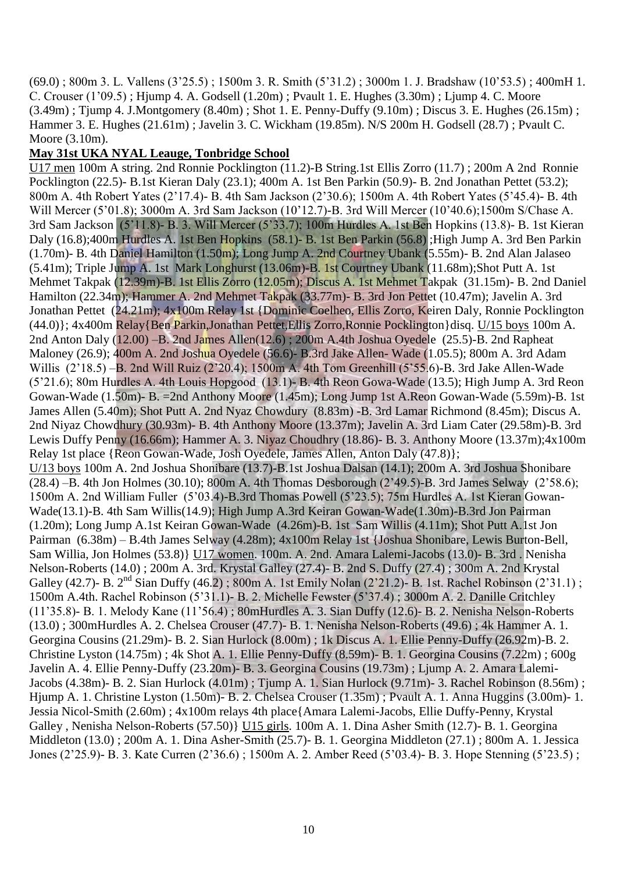(69.0) ; 800m 3. L. Vallens (3"25.5) ; 1500m 3. R. Smith (5"31.2) ; 3000m 1. J. Bradshaw (10"53.5) ; 400mH 1. C. Crouser (1"09.5) ; Hjump 4. A. Godsell (1.20m) ; Pvault 1. E. Hughes (3.30m) ; Ljump 4. C. Moore  $(3.49m)$ ; Tjump 4. J.Montgomery  $(8.40m)$ ; Shot 1. E. Penny-Duffy  $(9.10m)$ ; Discus 3. E. Hughes  $(26.15m)$ ; Hammer 3. E. Hughes (21.61m) ; Javelin 3. C. Wickham (19.85m). N/S 200m H. Godsell (28.7) ; Pvault C. Moore (3.10m).

### **May 31st UKA NYAL Leauge, Tonbridge School**

U17 men 100m A string. 2nd Ronnie Pocklington (11.2)-B String.1st Ellis Zorro (11.7) ; 200m A 2nd Ronnie Pocklington (22.5)- B.1st Kieran Daly (23.1); 400m A. 1st Ben Parkin (50.9)- B. 2nd Jonathan Pettet (53.2); 800m A. 4th Robert Yates (2"17.4)- B. 4th Sam Jackson (2"30.6); 1500m A. 4th Robert Yates (5"45.4)- B. 4th Will Mercer (5"01.8); 3000m A. 3rd Sam Jackson (10"12.7)-B. 3rd Will Mercer (10"40.6);1500m S/Chase A. 3rd Sam Jackson (5"11.8)- B. 3. Will Mercer (5"33.7); 100m Hurdles A. 1st Ben Hopkins (13.8)- B. 1st Kieran Daly (16.8);400m Hurdles A. 1st Ben Hopkins (58.1)- B. 1st Ben Parkin (56.8) ;High Jump A. 3rd Ben Parkin (1.70m)- B. 4th Daniel Hamilton (1.50m); Long Jump A. 2nd Courtney Ubank (5.55m)- B. 2nd Alan Jalaseo (5.41m); Triple Jump A. 1st Mark Longhurst (13.06m)-B. 1st Courtney Ubank (11.68m);Shot Putt A. 1st Mehmet Takpak (12.39m)-B. 1st Ellis Zorro (12.05m); Discus A. 1st Mehmet Takpak (31.15m)- B. 2nd Daniel Hamilton (22.34m); Hammer A. 2nd Mehmet Takpak (33.77m)- B. 3rd Jon Pettet (10.47m); Javelin A. 3rd Jonathan Pettet (24.21m); 4x100m Relay 1st {Dominic Coelheo, Ellis Zorro, Keiren Daly, Ronnie Pocklington (44.0)}; 4x400m Relay{Ben Parkin,Jonathan Pettet,Ellis Zorro,Ronnie Pocklington}disq. U/15 boys 100m A. 2nd Anton Daly (12.00) –B. 2nd James Allen(12.6) ; 200m A.4th Joshua Oyedele (25.5)-B. 2nd Rapheat Maloney (26.9); 400m A. 2nd Joshua Oyedele (56.6)- B.3rd Jake Allen- Wade (1.05.5); 800m A. 3rd Adam Willis (2"18.5) –B. 2nd Will Ruiz (2"20.4); 1500m A. 4th Tom Greenhill (5"55.6)-B. 3rd Jake Allen-Wade (5"21.6); 80m Hurdles A. 4th Louis Hopgood (13.1)- B. 4th Reon Gowa-Wade (13.5); High Jump A. 3rd Reon Gowan-Wade (1.50m)- B. =2nd Anthony Moore (1.45m); Long Jump 1st A.Reon Gowan-Wade (5.59m)-B. 1st James Allen (5.40m); Shot Putt A. 2nd Nyaz Chowdury (8.83m) -B. 3rd Lamar Richmond (8.45m); Discus A. 2nd Niyaz Chowdhury (30.93m)- B. 4th Anthony Moore (13.37m); Javelin A. 3rd Liam Cater (29.58m)-B. 3rd Lewis Duffy Penny (16.66m); Hammer A. 3. Niyaz Choudhry (18.86)- B. 3. Anthony Moore (13.37m);4x100m Relay 1st place {Reon Gowan-Wade, Josh Oyedele, James Allen, Anton Daly (47.8)}; U/13 boys 100m A. 2nd Joshua Shonibare (13.7)-B.1st Joshua Dalsan (14.1); 200m A. 3rd Joshua Shonibare (28.4) –B. 4th Jon Holmes (30.10); 800m A. 4th Thomas Desborough (2"49.5)-B. 3rd James Selway (2"58.6); 1500m A. 2nd William Fuller (5"03.4)-B.3rd Thomas Powell (5"23.5); 75m Hurdles A. 1st Kieran Gowan-Wade(13.1)-B. 4th Sam Willis(14.9); High Jump A.3rd Keiran Gowan-Wade(1.30m)-B.3rd Jon Pairman (1.20m); Long Jump A.1st Keiran Gowan-Wade (4.26m)-B. 1st Sam Willis (4.11m); Shot Putt A.1st Jon Pairman (6.38m) – B.4th James Selway (4.28m); 4x100m Relay 1st {Joshua Shonibare, Lewis Burton-Bell, Sam Willia, Jon Holmes (53.8)} U17 women. 100m. A. 2nd. Amara Lalemi-Jacobs (13.0)- B. 3rd . Nenisha Nelson-Roberts (14.0) ; 200m A. 3rd. Krystal Galley (27.4)- B. 2nd S. Duffy (27.4) ; 300m A. 2nd Krystal Galley (42.7)- B.  $2^{nd}$  Sian Duffy (46.2); 800m A. 1st Emily Nolan (2'21.2)- B. 1st. Rachel Robinson (2'31.1); 1500m A.4th. Rachel Robinson (5"31.1)- B. 2. Michelle Fewster (5"37.4) ; 3000m A. 2. Danille Critchley (11"35.8)- B. 1. Melody Kane (11"56.4) ; 80mHurdles A. 3. Sian Duffy (12.6)- B. 2. Nenisha Nelson-Roberts (13.0) ; 300mHurdles A. 2. Chelsea Crouser (47.7)- B. 1. Nenisha Nelson-Roberts (49.6) ; 4k Hammer A. 1. Georgina Cousins (21.29m)- B. 2. Sian Hurlock (8.00m) ; 1k Discus A. 1. Ellie Penny-Duffy (26.92m)-B. 2. Christine Lyston (14.75m) ; 4k Shot A. 1. Ellie Penny-Duffy (8.59m)- B. 1. Georgina Cousins (7.22m) ; 600g Javelin A. 4. Ellie Penny-Duffy (23.20m)- B. 3. Georgina Cousins (19.73m) ; Ljump A. 2. Amara Lalemi-Jacobs (4.38m)- B. 2. Sian Hurlock (4.01m) ; Tjump A. 1. Sian Hurlock (9.71m)- 3. Rachel Robinson (8.56m) ; Hjump A. 1. Christine Lyston (1.50m)- B. 2. Chelsea Crouser (1.35m) ; Pvault A. 1. Anna Huggins (3.00m)- 1. Jessia Nicol-Smith (2.60m) ; 4x100m relays 4th place{Amara Lalemi-Jacobs, Ellie Duffy-Penny, Krystal Galley , Nenisha Nelson-Roberts (57.50)} U15 girls. 100m A. 1. Dina Asher Smith (12.7)- B. 1. Georgina Middleton (13.0) ; 200m A. 1. Dina Asher-Smith (25.7)- B. 1. Georgina Middleton (27.1) ; 800m A. 1. Jessica Jones (2"25.9)- B. 3. Kate Curren (2"36.6) ; 1500m A. 2. Amber Reed (5"03.4)- B. 3. Hope Stenning (5"23.5) ;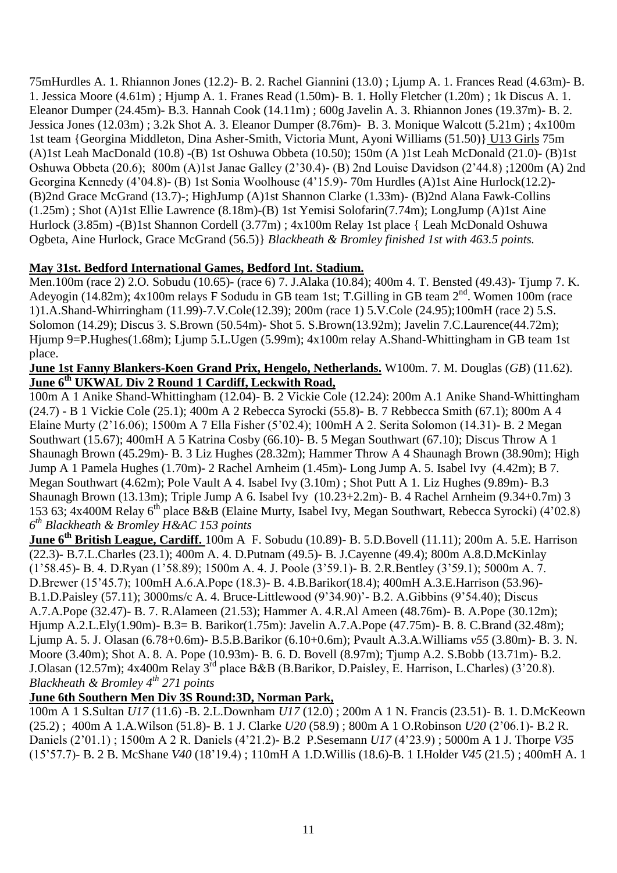75mHurdles A. 1. Rhiannon Jones (12.2)- B. 2. Rachel Giannini (13.0) ; Ljump A. 1. Frances Read (4.63m)- B. 1. Jessica Moore (4.61m) ; Hjump A. 1. Franes Read (1.50m)- B. 1. Holly Fletcher (1.20m) ; 1k Discus A. 1. Eleanor Dumper (24.45m)- B.3. Hannah Cook (14.11m) ; 600g Javelin A. 3. Rhiannon Jones (19.37m)- B. 2. Jessica Jones (12.03m) ; 3.2k Shot A. 3. Eleanor Dumper (8.76m)- B. 3. Monique Walcott (5.21m) ; 4x100m 1st team {Georgina Middleton, Dina Asher-Smith, Victoria Munt, Ayoni Williams (51.50)} U13 Girls 75m (A)1st Leah MacDonald (10.8) -(B) 1st Oshuwa Obbeta (10.50); 150m (A )1st Leah McDonald (21.0)- (B)1st Oshuwa Obbeta (20.6); 800m (A)1st Janae Galley (2"30.4)- (B) 2nd Louise Davidson (2"44.8) ;1200m (A) 2nd Georgina Kennedy (4"04.8)- (B) 1st Sonia Woolhouse (4"15.9)- 70m Hurdles (A)1st Aine Hurlock(12.2)- (B)2nd Grace McGrand (13.7)-; HighJump (A)1st Shannon Clarke (1.33m)- (B)2nd Alana Fawk-Collins (1.25m) ; Shot (A)1st Ellie Lawrence (8.18m)-(B) 1st Yemisi Solofarin(7.74m); LongJump (A)1st Aine Hurlock (3.85m) -(B)1st Shannon Cordell (3.77m) ; 4x100m Relay 1st place { Leah McDonald Oshuwa Ogbeta, Aine Hurlock, Grace McGrand (56.5)} *Blackheath & Bromley finished 1st with 463.5 points.*

### **May 31st. Bedford International Games, Bedford Int. Stadium.**

Men.100m (race 2) 2.O. Sobudu (10.65)- (race 6) 7. J.Alaka (10.84); 400m 4. T. Bensted (49.43)- Tjump 7. K. Adeyogin (14.82m); 4x100m relays F Sodudu in GB team 1st; T.Gilling in GB team 2<sup>nd</sup>. Women 100m (race 1)1.A.Shand-Whirringham (11.99)-7.V.Cole(12.39); 200m (race 1) 5.V.Cole (24.95);100mH (race 2) 5.S. Solomon (14.29); Discus 3. S.Brown (50.54m)- Shot 5. S.Brown(13.92m); Javelin 7.C.Laurence(44.72m); Hjump 9=P.Hughes(1.68m); Ljump 5.L.Ugen (5.99m); 4x100m relay A.Shand-Whittingham in GB team 1st place.

#### **June 1st Fanny Blankers-Koen Grand Prix, Hengelo, Netherlands.** W100m. 7. M. Douglas (*GB*) (11.62). **June 6th UKWAL Div 2 Round 1 Cardiff, Leckwith Road,**

100m A 1 Anike Shand-Whittingham (12.04)- B. 2 Vickie Cole (12.24): 200m A.1 Anike Shand-Whittingham (24.7) - B 1 Vickie Cole (25.1); 400m A 2 Rebecca Syrocki (55.8)- B. 7 Rebbecca Smith (67.1); 800m A 4 Elaine Murty (2"16.06); 1500m A 7 Ella Fisher (5"02.4); 100mH A 2. Serita Solomon (14.31)- B. 2 Megan Southwart (15.67); 400mH A 5 Katrina Cosby (66.10)- B. 5 Megan Southwart (67.10); Discus Throw A 1 Shaunagh Brown (45.29m)- B. 3 Liz Hughes (28.32m); Hammer Throw A 4 Shaunagh Brown (38.90m); High Jump A 1 Pamela Hughes (1.70m)- 2 Rachel Arnheim (1.45m)- Long Jump A. 5. Isabel Ivy (4.42m); B 7. Megan Southwart (4.62m); Pole Vault A 4. Isabel Ivy (3.10m) ; Shot Putt A 1. Liz Hughes (9.89m)- B.3 Shaunagh Brown (13.13m); Triple Jump A 6. Isabel Ivy (10.23+2.2m)- B. 4 Rachel Arnheim (9.34+0.7m) 3 153 63; 4x400M Relay 6<sup>th</sup> place B&B (Elaine Murty, Isabel Ivy, Megan Southwart, Rebecca Syrocki) (4'02.8) *6 th Blackheath & Bromley H&AC 153 points*

**June 6th British League, Cardiff.** 100m A F. Sobudu (10.89)- B. 5.D.Bovell (11.11); 200m A. 5.E. Harrison (22.3)- B.7.L.Charles (23.1); 400m A. 4. D.Putnam (49.5)- B. J.Cayenne (49.4); 800m A.8.D.McKinlay (1"58.45)- B. 4. D.Ryan (1"58.89); 1500m A. 4. J. Poole (3"59.1)- B. 2.R.Bentley (3"59.1); 5000m A. 7. D.Brewer (15"45.7); 100mH A.6.A.Pope (18.3)- B. 4.B.Barikor(18.4); 400mH A.3.E.Harrison (53.96)- B.1.D.Paisley (57.11); 3000ms/c A. 4. Bruce-Littlewood (9"34.90)"- B.2. A.Gibbins (9"54.40); Discus A.7.A.Pope (32.47)- B. 7. R.Alameen (21.53); Hammer A. 4.R.Al Ameen (48.76m)- B. A.Pope (30.12m); Hjump A.2.L.Ely(1.90m)- B.3= B. Barikor(1.75m): Javelin A.7.A.Pope (47.75m)- B. 8. C.Brand (32.48m); Ljump A. 5. J. Olasan (6.78+0.6m)- B.5.B.Barikor (6.10+0.6m); Pvault A.3.A.Williams *v55* (3.80m)- B. 3. N. Moore (3.40m); Shot A. 8. A. Pope (10.93m)- B. 6. D. Bovell (8.97m); Tjump A.2. S.Bobb (13.71m)- B.2. J.Olasan (12.57m); 4x400m Relay 3rd place B&B (B.Barikor, D.Paisley, E. Harrison, L.Charles) (3"20.8). *Blackheath & Bromley 4th 271 points*

## **June 6th Southern Men Div 3S Round:3D, Norman Park,**

100m A 1 S.Sultan *U17* (11.6) -B. 2.L.Downham *U17* (12.0) ; 200m A 1 N. Francis (23.51)- B. 1. D.McKeown (25.2) ; 400m A 1.A.Wilson (51.8)- B. 1 J. Clarke *U20* (58.9) ; 800m A 1 O.Robinson *U20* (2"06.1)- B.2 R. Daniels (2"01.1) ; 1500m A 2 R. Daniels (4"21.2)- B.2 P.Sesemann *U17* (4"23.9) ; 5000m A 1 J. Thorpe *V35* (15"57.7)- B. 2 B. McShane *V40* (18"19.4) ; 110mH A 1.D.Willis (18.6)-B. 1 I.Holder *V45* (21.5) ; 400mH A. 1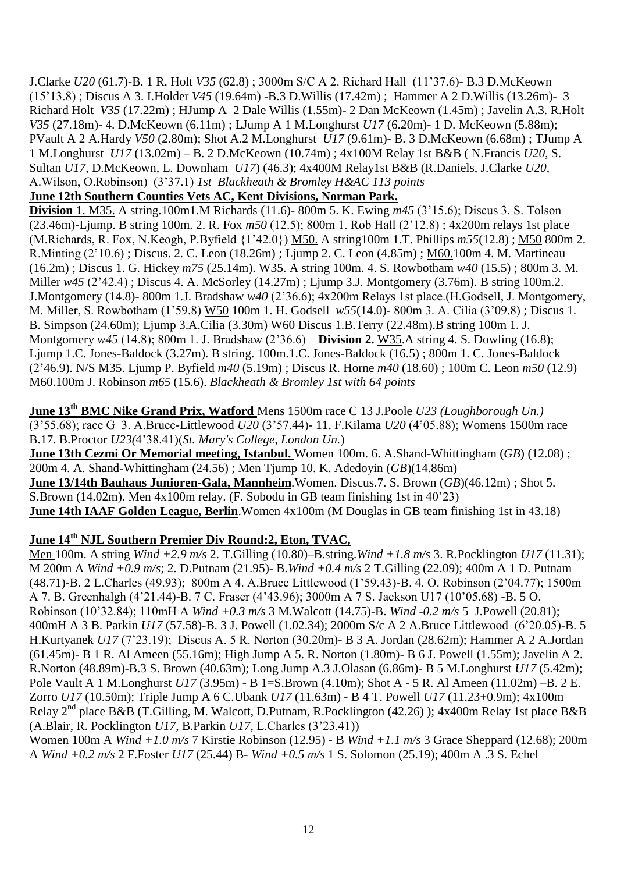J.Clarke *U20* (61.7)-B. 1 R. Holt *V35* (62.8) ; 3000m S/C A 2. Richard Hall (11"37.6)- B.3 D.McKeown (15"13.8) ; Discus A 3. I.Holder *V45* (19.64m) -B.3 D.Willis (17.42m) ; Hammer A 2 D.Willis (13.26m)- 3 Richard Holt *V35* (17.22m) ; HJump A 2 Dale Willis (1.55m)- 2 Dan McKeown (1.45m) ; Javelin A.3. R.Holt *V35* (27.18m)- 4. D.McKeown (6.11m) ; LJump A 1 M.Longhurst *U17* (6.20m)- 1 D. McKeown (5.88m); PVault A 2 A.Hardy *V50* (2.80m); Shot A.2 M.Longhurst *U17* (9.61m)- B. 3 D.McKeown (6.68m) ; TJump A 1 M.Longhurst *U17* (13.02m) – B. 2 D.McKeown (10.74m) ; 4x100M Relay 1st B&B ( N.Francis *U20*, S. Sultan *U17*, D.McKeown, L. Downham *U17*) (46.3); 4x400M Relay1st B&B (R.Daniels, J.Clarke *U20*, A.Wilson, O.Robinson) (3"37.1) *1st Blackheath & Bromley H&AC 113 points*

**June 12th Southern Counties Vets AC, Kent Divisions, Norman Park.**

**Division 1.** M35. A string.100m1.M Richards (11.6)-800m 5. K. Ewing  $m45$  (3'15.6); Discus 3. S. Tolson (23.46m)-Ljump. B string 100m. 2. R. Fox *m50* (12.5); 800m 1. Rob Hall (2"12.8) ; 4x200m relays 1st place (M.Richards, R. Fox, N.Keogh, P.Byfield {1"42.0}) M50. A string100m 1.T. Phillips *m55*(12.8) ; M50 800m 2. R.Minting (2"10.6) ; Discus. 2. C. Leon (18.26m) ; Ljump 2. C. Leon (4.85m) ; M60.100m 4. M. Martineau (16.2m) ; Discus 1. G. Hickey *m75* (25.14m). W35. A string 100m. 4. S. Rowbotham *w40* (15.5) ; 800m 3. M. Miller *w45* (2"42.4) ; Discus 4. A. McSorley (14.27m) ; Ljump 3.J. Montgomery (3.76m). B string 100m.2. J.Montgomery (14.8)- 800m 1.J. Bradshaw *w40* (2"36.6); 4x200m Relays 1st place.(H.Godsell, J. Montgomery, M. Miller, S. Rowbotham (1"59.8) W50 100m 1. H. Godsell *w55*(14.0)- 800m 3. A. Cilia (3"09.8) ; Discus 1. B. Simpson (24.60m); Ljump 3.A.Cilia (3.30m) W60 Discus 1.B.Terry (22.48m).B string 100m 1. J. Montgomery *w45* (14.8); 800m 1. J. Bradshaw (2"36.6) **Division 2.** W35.A string 4. S. Dowling (16.8); Ljump 1.C. Jones-Baldock (3.27m). B string. 100m.1.C. Jones-Baldock (16.5) ; 800m 1. C. Jones-Baldock (2"46.9). N/S M35. Ljump P. Byfield *m40* (5.19m) ; Discus R. Horne *m40* (18.60) ; 100m C. Leon *m50* (12.9) M60.100m J. Robinson *m65* (15.6). *Blackheath & Bromley 1st with 64 points*

**June 13th BMC Nike Grand Prix, Watford** Mens 1500m race C 13 J.Poole *U23 (Loughborough Un.)* (3"55.68); race G 3. A.Bruce-Littlewood *U20* (3"57.44)- 11. F.Kilama *U20* (4"05.88); Womens 1500m race B.17. B.Proctor *U23(*4"38.41)(*St. Mary's College, London Un.*)

**June 13th Cezmi Or Memorial meeting, Istanbul.** Women 100m. 6. A.Shand-Whittingham (*GB*) (12.08) ; 200m 4. A. Shand-Whittingham (24.56) ; Men Tjump 10. K. Adedoyin (*GB*)(14.86m) **June 13/14th Bauhaus Junioren-Gala, Mannheim**.Women. Discus.7. S. Brown (*GB*)(46.12m) ; Shot 5. S.Brown (14.02m). Men 4x100m relay. (F. Sobodu in GB team finishing 1st in 40"23) **June 14th IAAF Golden League, Berlin**.Women 4x100m (M Douglas in GB team finishing 1st in 43.18)

## **June 14th NJL Southern Premier Div Round:2, Eton, TVAC,**

Men 100m. A string *Wind +2.9 m/s* 2. T.Gilling (10.80)–B.string.*Wind +1.8 m/s* 3. R.Pocklington *U17* (11.31); M 200m A *Wind +0.9 m/s*; 2. D.Putnam (21.95)- B.*Wind +0.4 m/s* 2 T.Gilling (22.09); 400m A 1 D. Putnam (48.71)-B. 2 L.Charles (49.93); 800m A 4. A.Bruce Littlewood (1"59.43)-B. 4. O. Robinson (2"04.77); 1500m A 7. B. Greenhalgh (4"21.44)-B. 7 C. Fraser (4"43.96); 3000m A 7 S. Jackson U17 (10"05.68) -B. 5 O. Robinson (10"32.84); 110mH A *Wind +0.3 m/s* 3 M.Walcott (14.75)-B. *Wind -0.2 m/s* 5 J.Powell (20.81); 400mH A 3 B. Parkin *U17* (57.58)-B. 3 J. Powell (1.02.34); 2000m S/c A 2 A.Bruce Littlewood (6"20.05)-B. 5 H.Kurtyanek *U17* (7"23.19); Discus A. 5 R. Norton (30.20m)- B 3 A. Jordan (28.62m); Hammer A 2 A.Jordan (61.45m)- B 1 R. Al Ameen (55.16m); High Jump A 5. R. Norton (1.80m)- B 6 J. Powell (1.55m); Javelin A 2. R.Norton (48.89m)-B.3 S. Brown (40.63m); Long Jump A.3 J.Olasan (6.86m)- B 5 M.Longhurst *U17* (5.42m); Pole Vault A 1 M.Longhurst *U17* (3.95m) - B 1=S.Brown (4.10m); Shot A - 5 R. Al Ameen (11.02m) –B. 2 E. Zorro *U17* (10.50m); Triple Jump A 6 C.Ubank *U17* (11.63m) - B 4 T. Powell *U17* (11.23+0.9m); 4x100m Relay  $2^{nd}$  place B&B (T.Gilling, M. Walcott, D.Putnam, R.Pocklington (42.26)); 4x400m Relay 1st place B&B (A.Blair, R. Pocklington *U17*, B.Parkin *U17,* L.Charles (3"23.41))

Women 100m A *Wind +1.0 m/s* 7 Kirstie Robinson (12.95) - B *Wind +1.1 m/s* 3 Grace Sheppard (12.68); 200m A *Wind +0.2 m/s* 2 F.Foster *U17* (25.44) B- *Wind +0.5 m/s* 1 S. Solomon (25.19); 400m A .3 S. Echel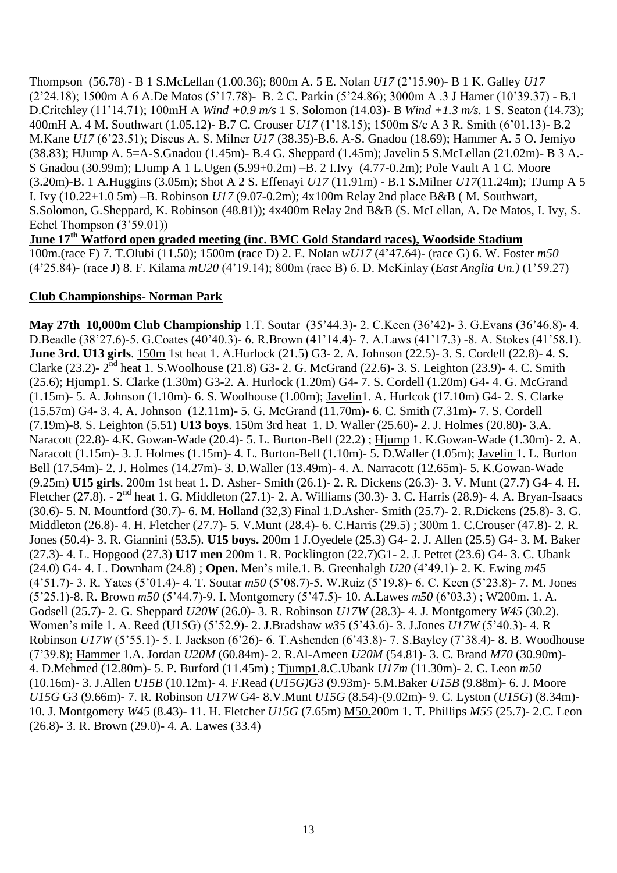Thompson (56.78) - B 1 S.McLellan (1.00.36); 800m A. 5 E. Nolan *U17* (2"15.90)- B 1 K. Galley *U17* (2"24.18); 1500m A 6 A.De Matos (5"17.78)- B. 2 C. Parkin (5"24.86); 3000m A .3 J Hamer (10"39.37) - B.1 D.Critchley (11"14.71); 100mH A *Wind +0.9 m/s* 1 S. Solomon (14.03)- B *Wind +1.3 m/s.* 1 S. Seaton (14.73); 400mH A. 4 M. Southwart (1.05.12)- B.7 C. Crouser *U17* (1"18.15); 1500m S/c A 3 R. Smith (6"01.13)- B.2 M.Kane *U17* (6"23.51); Discus A. S. Milner *U17* (38.35)-B.6. A-S. Gnadou (18.69); Hammer A. 5 O. Jemiyo (38.83); HJump A. 5=A-S.Gnadou (1.45m)- B.4 G. Sheppard (1.45m); Javelin 5 S.McLellan (21.02m)- B 3 A.- S Gnadou (30.99m); LJump A 1 L.Ugen (5.99+0.2m) –B. 2 I.Ivy (4.77-0.2m); Pole Vault A 1 C. Moore (3.20m)-B. 1 A.Huggins (3.05m); Shot A 2 S. Effenayi *U17* (11.91m) - B.1 S.Milner *U17*(11.24m); TJump A 5 I. Ivy (10.22+1.0 5m) –B. Robinson *U17* (9.07-0.2m); 4x100m Relay 2nd place B&B ( M. Southwart, S.Solomon, G.Sheppard, K. Robinson (48.81)); 4x400m Relay 2nd B&B (S. McLellan, A. De Matos, I. Ivy, S. Echel Thompson (3'59.01))

**June 17th Watford open graded meeting (inc. BMC Gold Standard races), Woodside Stadium** 100m.(race F) 7. T.Olubi (11.50); 1500m (race D) 2. E. Nolan *wU17* (4"47.64)- (race G) 6. W. Foster *m50*  (4"25.84)- (race J) 8. F. Kilama *mU20* (4"19.14); 800m (race B) 6. D. McKinlay (*East Anglia Un.)* (1"59.27)

#### **Club Championships- Norman Park**

**May 27th 10,000m Club Championship** 1.T. Soutar (35"44.3)- 2. C.Keen (36"42)- 3. G.Evans (36"46.8)- 4. D.Beadle (38"27.6)-5. G.Coates (40"40.3)- 6. R.Brown (41"14.4)- 7. A.Laws (41"17.3) -8. A. Stokes (41"58.1). **June 3rd. U13 girls**. 150m 1st heat 1. A.Hurlock (21.5) G3- 2. A. Johnson (22.5)- 3. S. Cordell (22.8)- 4. S. Clarke (23.2)-  $2^{nd}$  heat 1. S. Woolhouse (21.8) G3- 2. G. McGrand (22.6)- 3. S. Leighton (23.9)- 4. C. Smith (25.6); Hjump1. S. Clarke (1.30m) G3-2. A. Hurlock (1.20m) G4- 7. S. Cordell (1.20m) G4- 4. G. McGrand (1.15m)- 5. A. Johnson (1.10m)- 6. S. Woolhouse (1.00m); Javelin1. A. Hurlcok (17.10m) G4- 2. S. Clarke (15.57m) G4- 3. 4. A. Johnson (12.11m)- 5. G. McGrand (11.70m)- 6. C. Smith (7.31m)- 7. S. Cordell (7.19m)-8. S. Leighton (5.51) **U13 boys**. 150m 3rd heat 1. D. Waller (25.60)- 2. J. Holmes (20.80)- 3.A. Naracott (22.8)- 4.K. Gowan-Wade (20.4)- 5. L. Burton-Bell (22.2) ; Hjump 1. K.Gowan-Wade (1.30m)- 2. A. Naracott (1.15m)- 3. J. Holmes (1.15m)- 4. L. Burton-Bell (1.10m)- 5. D.Waller (1.05m); Javelin 1. L. Burton Bell (17.54m)- 2. J. Holmes (14.27m)- 3. D.Waller (13.49m)- 4. A. Narracott (12.65m)- 5. K.Gowan-Wade (9.25m) **U15 girls**. 200m 1st heat 1. D. Asher- Smith (26.1)- 2. R. Dickens (26.3)- 3. V. Munt (27.7) G4- 4. H. Fletcher (27.8). - 2<sup>nd</sup> heat 1. G. Middleton (27.1)- 2. A. Williams (30.3)- 3. C. Harris (28.9)- 4. A. Bryan-Isaacs (30.6)- 5. N. Mountford (30.7)- 6. M. Holland (32,3) Final 1.D.Asher- Smith (25.7)- 2. R.Dickens (25.8)- 3. G. Middleton (26.8)- 4. H. Fletcher (27.7)- 5. V.Munt (28.4)- 6. C.Harris (29.5) ; 300m 1. C.Crouser (47.8)- 2. R. Jones (50.4)- 3. R. Giannini (53.5). **U15 boys.** 200m 1 J.Oyedele (25.3) G4- 2. J. Allen (25.5) G4- 3. M. Baker (27.3)- 4. L. Hopgood (27.3) **U17 men** 200m 1. R. Pocklington (22.7)G1- 2. J. Pettet (23.6) G4- 3. C. Ubank (24.0) G4- 4. L. Downham (24.8) ; **Open.** Men"s mile.1. B. Greenhalgh *U20* (4"49.1)- 2. K. Ewing *m45*  (4"51.7)- 3. R. Yates (5"01.4)- 4. T. Soutar *m50* (5"08.7)-5. W.Ruiz (5"19.8)- 6. C. Keen (5"23.8)- 7. M. Jones (5"25.1)-8. R. Brown *m50* (5"44.7)-9. I. Montgomery (5"47.5)- 10. A.Lawes *m50* (6"03.3) ; W200m. 1. A. Godsell (25.7)- 2. G. Sheppard *U20W* (26.0)- 3. R. Robinson *U17W* (28.3)- 4. J. Montgomery *W45* (30.2). Women"s mile 1. A. Reed (U15G) (5"52.9)- 2. J.Bradshaw *w35* (5"43.6)- 3. J.Jones *U17W* (5"40.3)- 4. R Robinson *U17W* (5"55.1)- 5. I. Jackson (6"26)- 6. T.Ashenden (6"43.8)- 7. S.Bayley (7"38.4)- 8. B. Woodhouse (7"39.8); Hammer 1.A. Jordan *U20M* (60.84m)- 2. R.Al-Ameen *U20M* (54.81)- 3. C. Brand *M70* (30.90m)- 4. D.Mehmed (12.80m)- 5. P. Burford (11.45m) ; Tjump1.8.C.Ubank *U17m* (11.30m)- 2. C. Leon *m50*  (10.16m)- 3. J.Allen *U15B* (10.12m)- 4. F.Read (*U15G)*G3 (9.93m)- 5.M.Baker *U15B* (9.88m)- 6. J. Moore *U15G* G3 (9.66m)- 7. R. Robinson *U17W* G4- 8.V.Munt *U15G* (8.54)-(9.02m)- 9. C. Lyston (*U15G*) (8.34m)- 10. J. Montgomery *W45* (8.43)- 11. H. Fletcher *U15G* (7.65m) M50.200m 1. T. Phillips *M55* (25.7)- 2.C. Leon (26.8)- 3. R. Brown (29.0)- 4. A. Lawes (33.4)